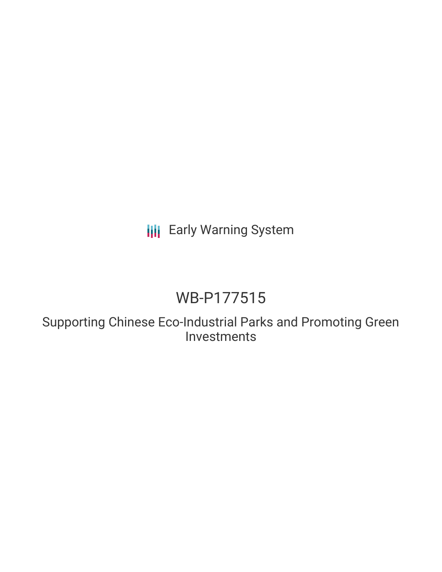# **III** Early Warning System

# WB-P177515

Supporting Chinese Eco-Industrial Parks and Promoting Green Investments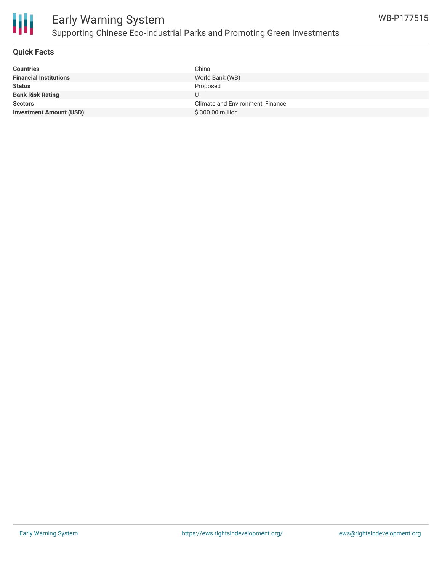

### **Quick Facts**

| <b>Countries</b>               | China                            |
|--------------------------------|----------------------------------|
| <b>Financial Institutions</b>  | World Bank (WB)                  |
| <b>Status</b>                  | Proposed                         |
| <b>Bank Risk Rating</b>        |                                  |
| <b>Sectors</b>                 | Climate and Environment, Finance |
| <b>Investment Amount (USD)</b> | \$300.00 million                 |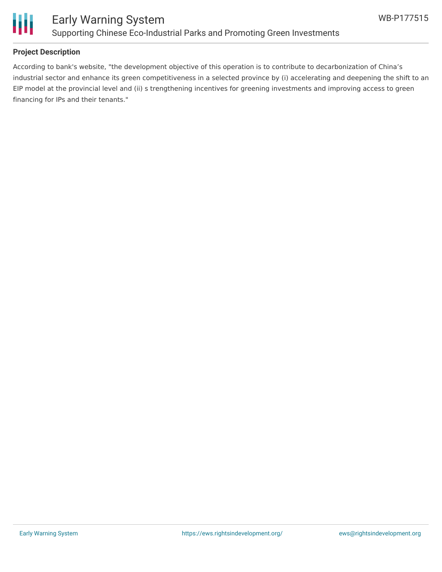

## **Project Description**

According to bank's website, "the development objective of this operation is to contribute to decarbonization of China's industrial sector and enhance its green competitiveness in a selected province by (i) accelerating and deepening the shift to an EIP model at the provincial level and (ii) s trengthening incentives for greening investments and improving access to green financing for IPs and their tenants."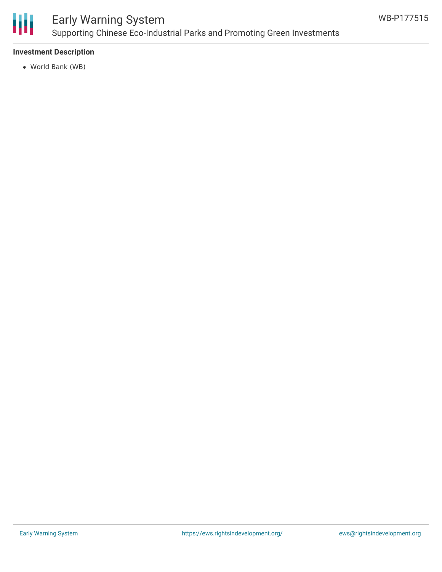

# Early Warning System Supporting Chinese Eco-Industrial Parks and Promoting Green Investments

### **Investment Description**

World Bank (WB)